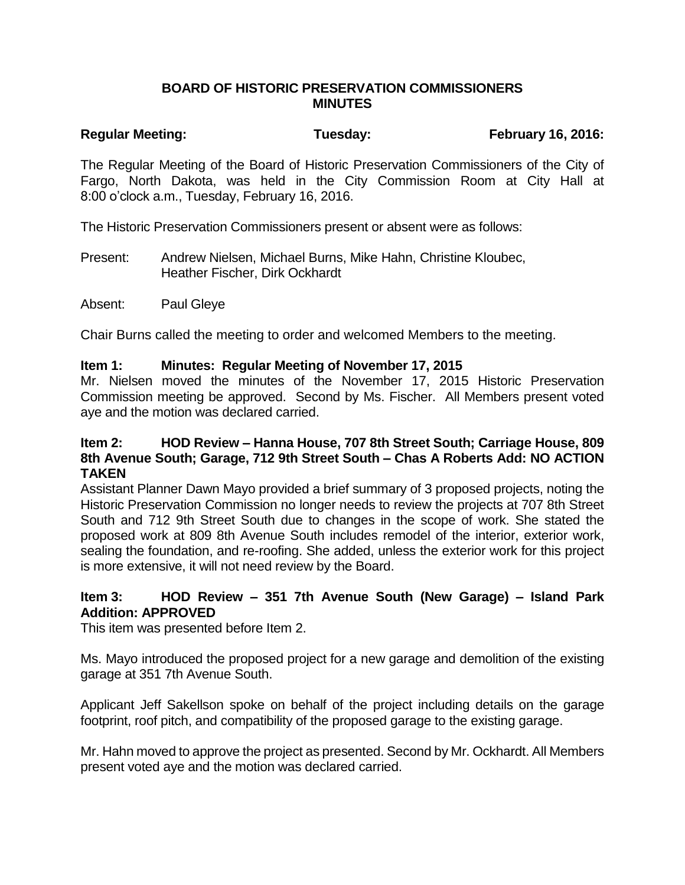### **BOARD OF HISTORIC PRESERVATION COMMISSIONERS MINUTES**

# Regular Meeting: Tuesday: Tuesday: February 16, 2016:

The Regular Meeting of the Board of Historic Preservation Commissioners of the City of Fargo, North Dakota, was held in the City Commission Room at City Hall at 8:00 o'clock a.m., Tuesday, February 16, 2016.

The Historic Preservation Commissioners present or absent were as follows:

Present: Andrew Nielsen, Michael Burns, Mike Hahn, Christine Kloubec, Heather Fischer, Dirk Ockhardt

Absent: Paul Gleye

Chair Burns called the meeting to order and welcomed Members to the meeting.

#### **Item 1: Minutes: Regular Meeting of November 17, 2015**

Mr. Nielsen moved the minutes of the November 17, 2015 Historic Preservation Commission meeting be approved. Second by Ms. Fischer. All Members present voted aye and the motion was declared carried.

### **Item 2: HOD Review – Hanna House, 707 8th Street South; Carriage House, 809 8th Avenue South; Garage, 712 9th Street South – Chas A Roberts Add: NO ACTION TAKEN**

Assistant Planner Dawn Mayo provided a brief summary of 3 proposed projects, noting the Historic Preservation Commission no longer needs to review the projects at 707 8th Street South and 712 9th Street South due to changes in the scope of work. She stated the proposed work at 809 8th Avenue South includes remodel of the interior, exterior work, sealing the foundation, and re-roofing. She added, unless the exterior work for this project is more extensive, it will not need review by the Board.

# **Item 3: HOD Review – 351 7th Avenue South (New Garage) – Island Park Addition: APPROVED**

This item was presented before Item 2.

Ms. Mayo introduced the proposed project for a new garage and demolition of the existing garage at 351 7th Avenue South.

Applicant Jeff Sakellson spoke on behalf of the project including details on the garage footprint, roof pitch, and compatibility of the proposed garage to the existing garage.

Mr. Hahn moved to approve the project as presented. Second by Mr. Ockhardt. All Members present voted aye and the motion was declared carried.